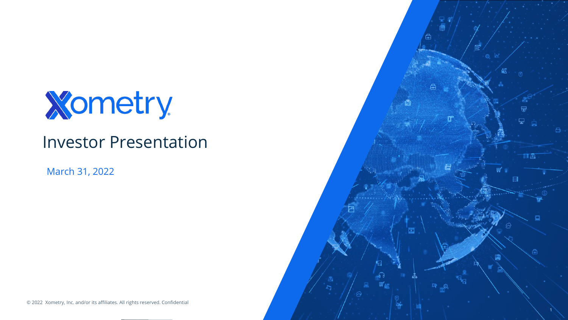

### Investor Presentation

March 31, 2022

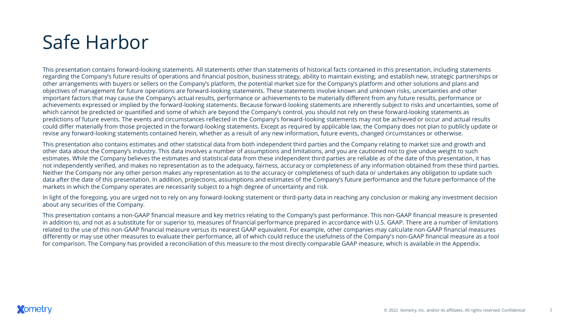# Safe Harbor

This presentation contains forward-looking statements. All statements other than statements of historical facts contained in this presentation, including statements regarding the Company's future results of operations and financial position, business strategy, ability to maintain existing, and establish new, strategic partnerships or other arrangements with buyers or sellers on the Company's platform, the potential market size for the Company's platform and other solutions and plans and objectives of management for future operations are forward-looking statements. These statements involve known and unknown risks, uncertainties and other important factors that may cause the Company's actual results, performance or achievements to be materially different from any future results, performance or achievements expressed or implied by the forward-looking statements. Because forward-looking statements are inherently subject to risks and uncertainties, some of which cannot be predicted or quantified and some of which are beyond the Company's control, you should not rely on these forward-looking statements as predictions of future events. The events and circumstances reflected in the Company's forward-looking statements may not be achieved or occur and actual results could differ materially from those projected in the forward-looking statements. Except as required by applicable law, the Company does not plan to publicly update or revise any forward-looking statements contained herein, whether as a result of any new information, future events, changed circumstances or otherwise.

This presentation also contains estimates and other statistical data from both independent third parties and the Company relating to market size and growth and other data about the Company's industry. This data involves a number of assumptions and limitations, and you are cautioned not to give undue weight to such estimates. While the Company believes the estimates and statistical data from these independent third parties are reliable as of the date of this presentation, it has not independently verified, and makes no representation as to the adequacy, fairness, accuracy or completeness of any information obtained from these third parties. Neither the Company nor any other person makes any representation as to the accuracy or completeness of such data or undertakes any obligation to update such data after the date of this presentation. In addition, projections, assumptions and estimates of the Company's future performance and the future performance of the markets in which the Company operates are necessarily subject to a high degree of uncertainty and risk.

In light of the foregoing, you are urged not to rely on any forward-looking statement or third-party data in reaching any conclusion or making any investment decision about any securities of the Company.

This presentation contains a non-GAAP financial measure and key metrics relating to the Company's past performance. This non-GAAP financial measure is presented in addition to, and not as a substitute for or superior to, measures of financial performance prepared in accordance with U.S. GAAP. There are a number of limitations related to the use of this non-GAAP financial measure versus its nearest GAAP equivalent. For example, other companies may calculate non-GAAP financial measures differently or may use other measures to evaluate their performance, all of which could reduce the usefulness of the Company's non-GAAP financial measure as a tool for comparison. The Company has provided a reconciliation of this measure to the most directly comparable GAAP measure, which is available in the Appendix.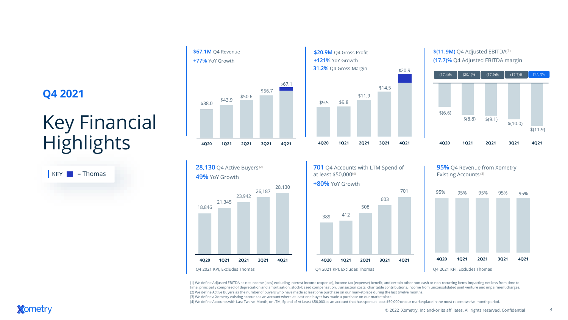### **Q4 2021**

# Key Financial **Highlights**

| K | = Thomas |
|---|----------|
|   |          |







#### \$(11.9M) Q4 Adjusted EBITDA<sup>(1)</sup> **(17.7)%** Q4 Adjusted EBITDA margin









3

(1) We define Adjusted EBITDA as net income (loss) excluding interest income (expense), income tax (expense) benefit, and certain other non-cash or non-recurring items impacting net loss from time to time, principally comprised of depreciation and amortization, stock-based compensation, transaction costs, charitable contributions, income from unconsolidated joint venture and impairment charges. (2) We define Active Buyers as the number of buyers who have made at least one purchase on our marketplace during the last twelve months.

(3) We define a Xometry existing account as an account where at least one buyer has made a purchase on our marketplace.

(4) We define Accounts with Last Twelve-Month, or LTM, Spend of At Least \$50,000 as an account that has spent at least \$50,000 on our marketplace in the most recent twelve-month period.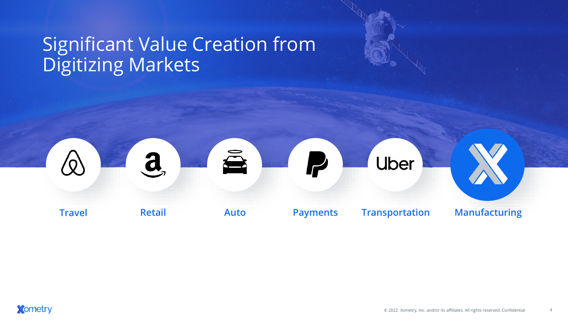## Significant Value Creation from Digitizing Markets

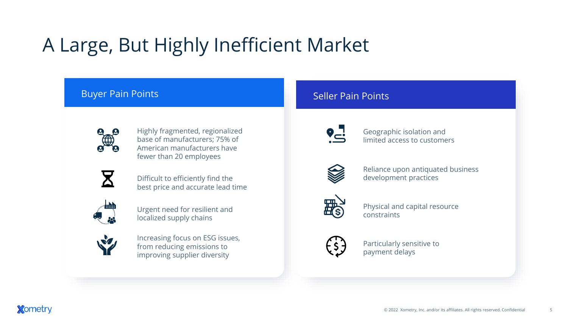# A Large, But Highly Inefficient Market

### Buyer Pain Points



Highly fragmented, regionalized base of manufacturers; 75% of American manufacturers have fewer than 20 employees



Difficult to efficiently find the best price and accurate lead time



Urgent need for resilient and localized supply chains



Increasing focus on ESG issues, from reducing emissions to improving supplier diversity

### Seller Pain Points



Geographic isolation and limited access to customers



Reliance upon antiquated business development practices



Physical and capital resource constraints



Particularly sensitive to payment delays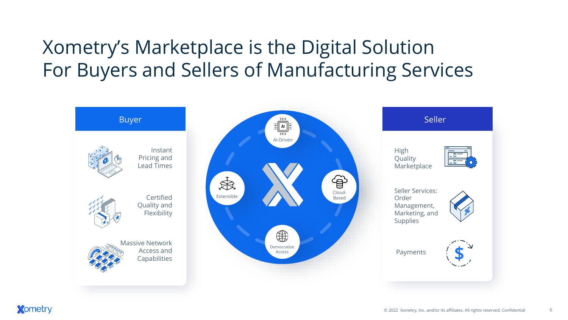# Xometry's Marketplace is the Digital Solution For Buyers and Sellers of Manufacturing Services



6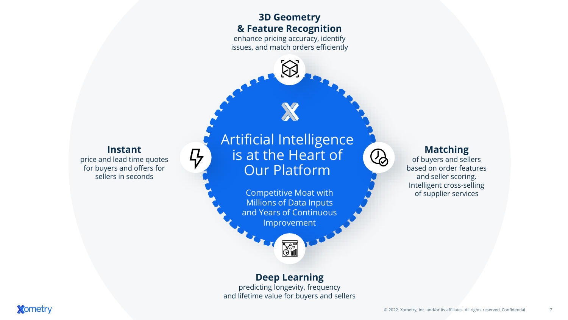### **3D Geometry & Feature Recognition**

enhance pricing accuracy, identify issues, and match orders efficiently

### **Instant**

47

price and lead time quotes for buyers and offers for sellers in seconds

Artificial Intelligence is at the Heart of Our Platform

> Competitive Moat with Millions of Data Inputs and Years of Continuous Improvement

# $\bigcirc$

of buyers and sellers based on order features and seller scoring. Intelligent cross-selling of supplier services

**Matching**

#### **Deep Learning**

**A** 

predicting longevity, frequency and lifetime value for buyers and sellers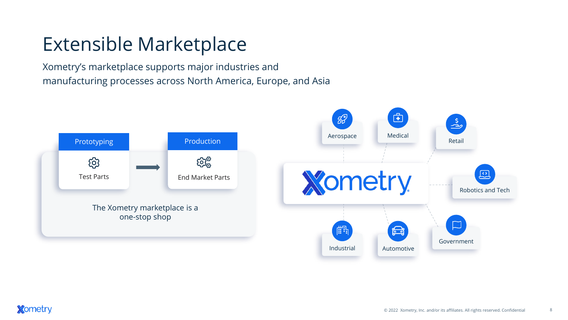# Extensible Marketplace

Xometry's marketplace supports major industries and manufacturing processes across North America, Europe, and Asia

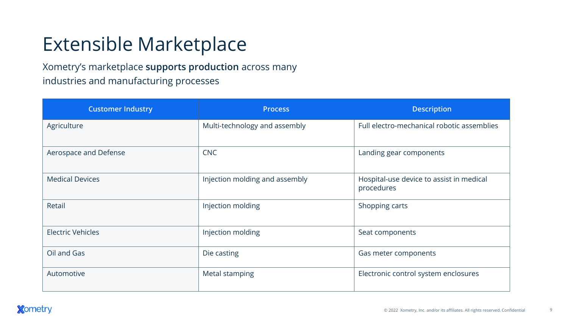# Extensible Marketplace

Xometry's marketplace **supports production** across many industries and manufacturing processes

| <b>Customer Industry</b> | <b>Process</b>                 | <b>Description</b>                                     |  |  |  |  |
|--------------------------|--------------------------------|--------------------------------------------------------|--|--|--|--|
| Agriculture              | Multi-technology and assembly  | Full electro-mechanical robotic assemblies             |  |  |  |  |
| Aerospace and Defense    | <b>CNC</b>                     | Landing gear components                                |  |  |  |  |
| <b>Medical Devices</b>   | Injection molding and assembly | Hospital-use device to assist in medical<br>procedures |  |  |  |  |
| Retail                   | Injection molding              | Shopping carts                                         |  |  |  |  |
| <b>Electric Vehicles</b> | Injection molding              | Seat components                                        |  |  |  |  |
| Oil and Gas              | Die casting                    | Gas meter components                                   |  |  |  |  |
| Automotive               | Metal stamping                 | Electronic control system enclosures                   |  |  |  |  |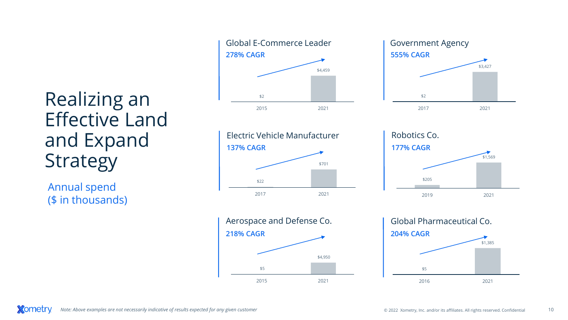Realizing an Effective Land and Expand Strategy

Annual spend (\$ in thousands)











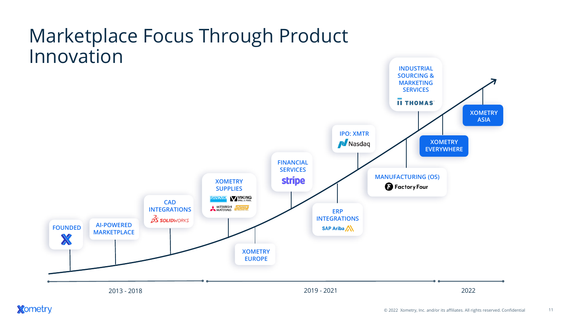## Marketplace Focus Through Product Innovation

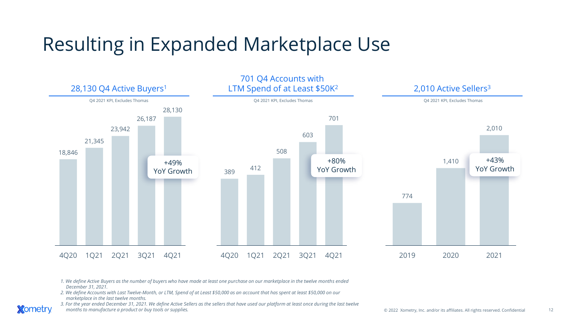# Resulting in Expanded Marketplace Use



*1. We define Active Buyers as the number of buyers who have made at least one purchase on our marketplace in the twelve months ended December 31, 2021.*

*2. We define Accounts with Last Twelve-Month, or LTM, Spend of at Least \$50,000 as an account that has spent at least \$50,000 on our marketplace in the last twelve months.* 

**Xometry** 

*3. For the year ended December 31, 2021. We define Active Sellers as the sellers that have used our platform at least once during the last twelve months to manufacture a product or buy tools or supplies.*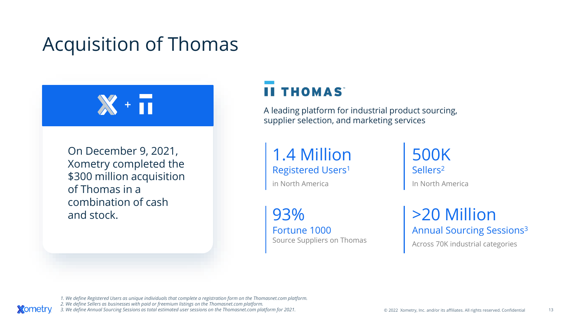# Acquisition of Thomas



On December 9, 2021, Xometry completed the \$300 million acquisition of Thomas in a combination of cash and stock.

*<u>Xometry</u>* 

### **II THOMAS**

A leading platform for industrial product sourcing, supplier selection, and marketing services

1.4 Million Registered Users<sup>1</sup>

in North America

93% Fortune 1000 Source Suppliers on Thomas 500K Sellers<sup>2</sup> In North America

>20 Million Annual Sourcing Sessions<sup>3</sup>

Across 70K industrial categories

*1. We define Registered Users as unique individuals that complete a registration form on the Thomasnet.com platform. 2. We define Sellers as businesses with paid or freemium listings on the Thomasnet.com platform. 3. We define Annual Sourcing Sessions as total estimated user sessions on the Thomasnet.com platform for 2021.*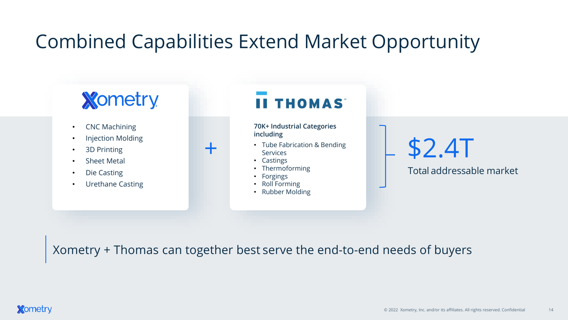# Combined Capabilities Extend Market Opportunity

# **Xometry**

- CNC Machining
- Injection Molding
- 3D Printing
- Sheet Metal
- Die Casting
- Urethane Casting

## **II THOMAS**

**70K+ Industrial Categories including**

- Tube Fabrication & Bending **Services**
- Castings

+

- **Thermoforming**
- **Forgings**
- Roll Forming
- Rubber Molding

# \$2.4T

Total addressable market

Xometry + Thomas can together best serve the end-to-end needs of buyers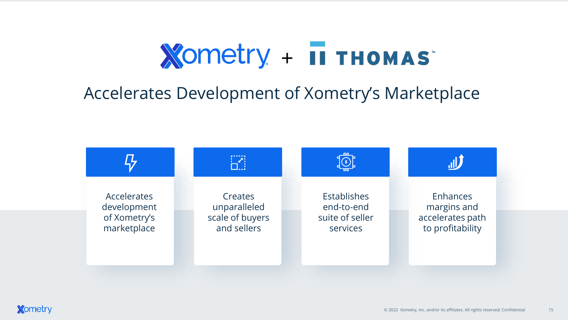# **Xometry + II THOMAS**

## Accelerates Development of Xometry's Marketplace

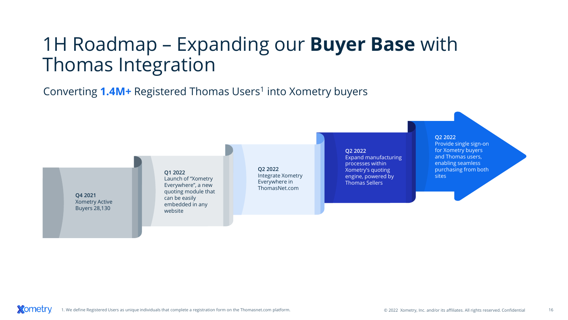# 1H Roadmap – Expanding our **Buyer Base** with Thomas Integration

Converting **1.4M+** Registered Thomas Users<sup>1</sup> into Xometry buyers

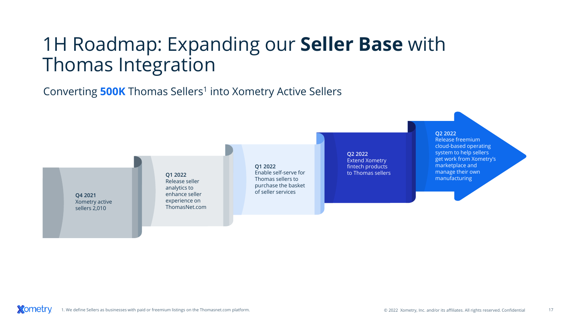# 1H Roadmap: Expanding our **Seller Base** with Thomas Integration

Converting **500K** Thomas Sellers<sup>1</sup> into Xometry Active Sellers

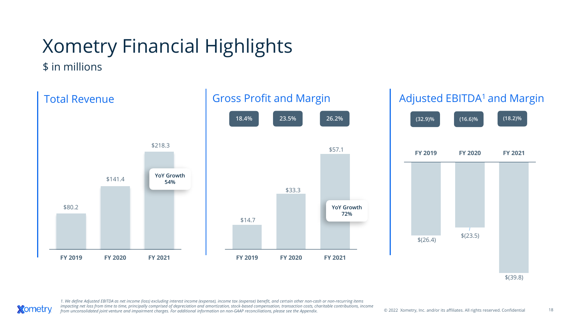# Xometry Financial Highlights

\$ in millions

**Xometry** 



\$(39.8)

1. We define Adjusted EBITDA as net income (loss) excluding interest income (expense), income tax (expense) benefit, and certain other non-cash or non-recurring items *impacting net loss from time to time, principally comprised of depreciation and amortization, stock-based compensation, transaction costs, charitable contributions, income*  from unconsolidated joint venture and *impairment charges. For additional information on non-GAAP reconciliations, please see the Appendix.*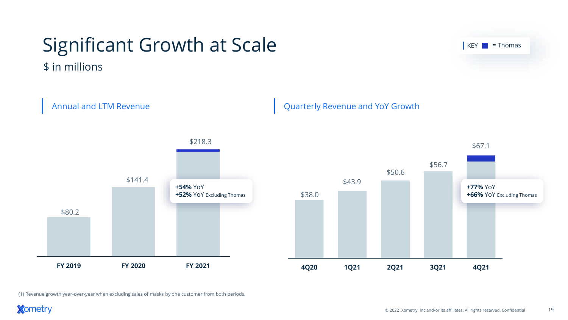# Significant Growth at Scale

\$ in millions



(1) Revenue growth year-over-year when excluding sales of masks by one customer from both periods.



 $Key$  = Thomas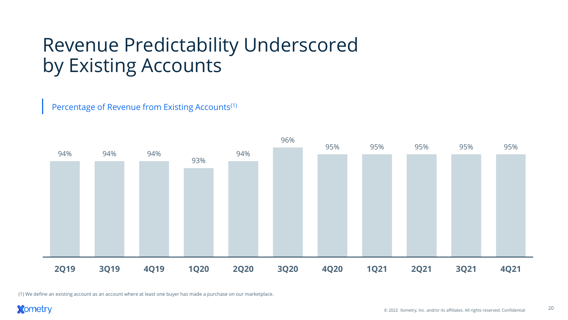# Revenue Predictability Underscored by Existing Accounts

Percentage of Revenue from Existing Accounts(1)



(1) We define an existing account as an account where at least one buyer has made a purchase on our marketplace.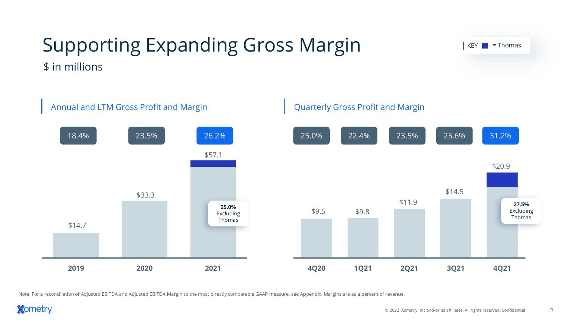

### Supporting Expanding Gross Margin \$ in millions

Note: For a reconciliation of Adjusted EBITDA and Adjusted EBITDA Margin to the most directly comparable GAAP measure, see Appendix. Margins are as a percent of revenue.

 $KEY \nightharpoonup = \nightharpoonup$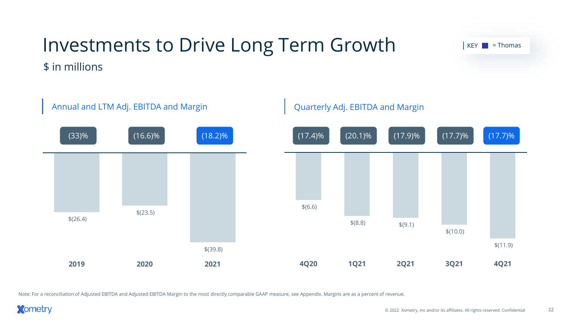

Investments to Drive Long Term Growth

 $\$(8.8)$   $\$(9.1)$ \$(10.0) \$(11.9) **4Q20 1Q21 2Q21 3Q21 4Q21** \$(39.8) **2019 2020 2021**

Note: For a reconciliation of Adjusted EBITDA and Adjusted EBITDA Margin to the most directly comparable GAAP measure, see Appendix. Margins are as a percent of revenue.

**Xometry** 

 $KEY \nightharpoonup = \nightharpoonup$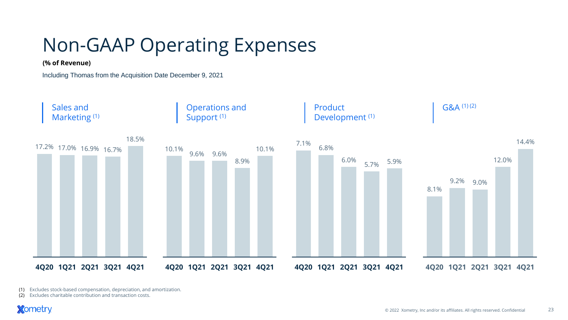# Non-GAAP Operating Expenses

#### **(% of Revenue)**

Including Thomas from the Acquisition Date December 9, 2021



(1) Excludes stock-based compensation, depreciation, and amortization.

(2) Excludes charitable contribution and transaction costs.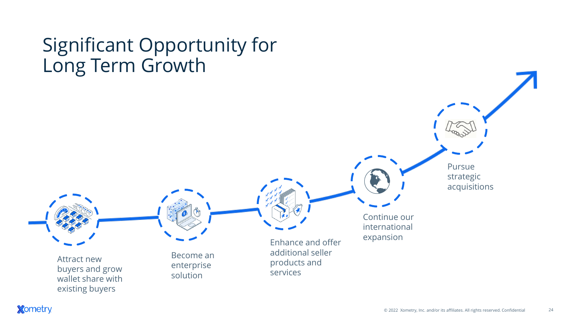# Significant Opportunity for Long Term Growth

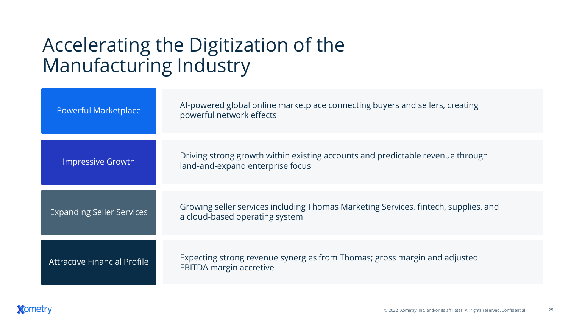# Accelerating the Digitization of the Manufacturing Industry

| <b>Powerful Marketplace</b>         | Al-powered global online marketplace connecting buyers and sellers, creating<br>powerful network effects              |
|-------------------------------------|-----------------------------------------------------------------------------------------------------------------------|
| Impressive Growth                   | Driving strong growth within existing accounts and predictable revenue through<br>land-and-expand enterprise focus    |
| <b>Expanding Seller Services</b>    | Growing seller services including Thomas Marketing Services, fintech, supplies, and<br>a cloud-based operating system |
| <b>Attractive Financial Profile</b> | Expecting strong revenue synergies from Thomas; gross margin and adjusted<br><b>EBITDA margin accretive</b>           |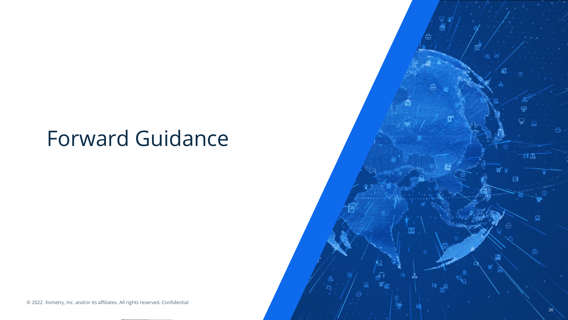# Forward Guidance

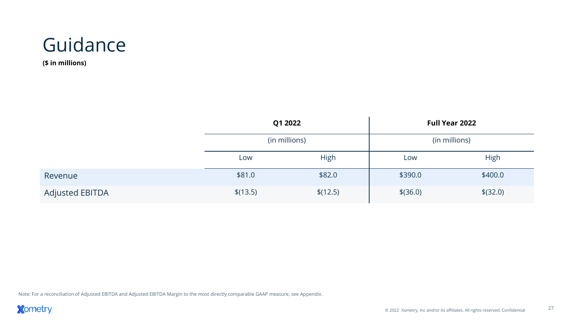

**(\$ in millions)**

|                        | Q1 2022       |             | Full Year 2022 |             |  |  |  |
|------------------------|---------------|-------------|----------------|-------------|--|--|--|
|                        | (in millions) |             | (in millions)  |             |  |  |  |
|                        | Low           | <b>High</b> | Low            | <b>High</b> |  |  |  |
| Revenue                | \$81.0        | \$82.0      | \$390.0        | \$400.0     |  |  |  |
| <b>Adjusted EBITDA</b> | \$(13.5)      | \$(12.5)    | $$$ (36.0)     | $$$ (32.0)  |  |  |  |

Note: For a reconciliation of Adjusted EBITDA and Adjusted EBITDA Margin to the most directly comparable GAAP measure, see Appendix.

**Xometry**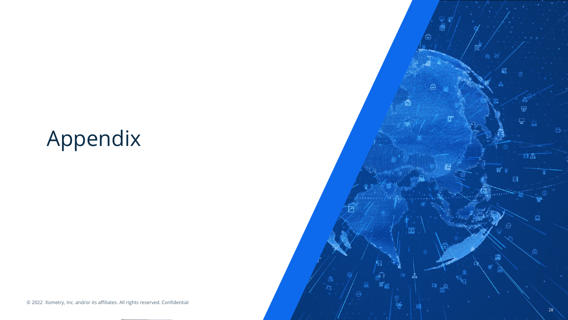# Appendix